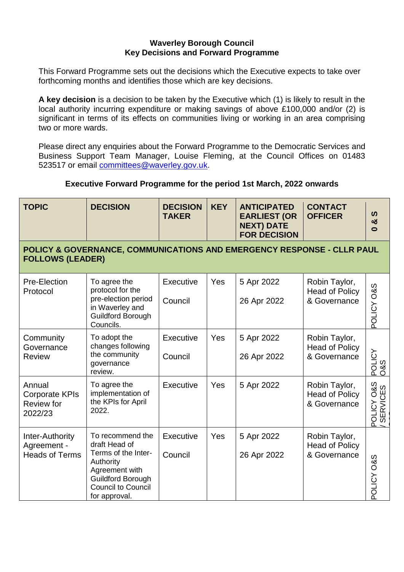## **Waverley Borough Council Key Decisions and Forward Programme**

This Forward Programme sets out the decisions which the Executive expects to take over forthcoming months and identifies those which are key decisions.

**A key decision** is a decision to be taken by the Executive which (1) is likely to result in the local authority incurring expenditure or making savings of above £100,000 and/or (2) is significant in terms of its effects on communities living or working in an area comprising two or more wards.

Please direct any enquiries about the Forward Programme to the Democratic Services and Business Support Team Manager, Louise Fleming, at the Council Offices on 01483 523517 or email [committees@waverley.gov.uk.](mailto:committees@waverley.gov.uk)

## **Executive Forward Programme for the period 1st March, 2022 onwards**

| <b>TOPIC</b>                                                                                      | <b>DECISION</b>                                                                                                                                                   | <b>DECISION</b><br><b>TAKER</b> | <b>KEY</b> | <b>ANTICIPATED</b><br><b>EARLIEST (OR</b><br><b>NEXT) DATE</b><br><b>FOR DECISION</b> | <b>CONTACT</b><br><b>OFFICER</b>                       | ທ<br>ఱ<br>$\bullet$                                 |  |  |
|---------------------------------------------------------------------------------------------------|-------------------------------------------------------------------------------------------------------------------------------------------------------------------|---------------------------------|------------|---------------------------------------------------------------------------------------|--------------------------------------------------------|-----------------------------------------------------|--|--|
| POLICY & GOVERNANCE, COMMUNICATIONS AND EMERGENCY RESPONSE - CLLR PAUL<br><b>FOLLOWS (LEADER)</b> |                                                                                                                                                                   |                                 |            |                                                                                       |                                                        |                                                     |  |  |
| Pre-Election<br>Protocol                                                                          | To agree the<br>protocol for the<br>pre-election period<br>in Waverley and<br>Guildford Borough<br>Councils.                                                      | Executive<br>Council            | Yes        | 5 Apr 2022<br>26 Apr 2022                                                             | Robin Taylor,<br><b>Head of Policy</b><br>& Governance | POLICY O&S                                          |  |  |
| Community<br>Governance<br><b>Review</b>                                                          | To adopt the<br>changes following<br>the community<br>governance<br>review.                                                                                       | Executive<br>Council            | Yes        | 5 Apr 2022<br>26 Apr 2022                                                             | Robin Taylor,<br><b>Head of Policy</b><br>& Governance | POLICY<br>O&S                                       |  |  |
| Annual<br><b>Corporate KPIs</b><br>Review for<br>2022/23                                          | To agree the<br>implementation of<br>the KPIs for April<br>2022.                                                                                                  | Executive                       | Yes        | 5 Apr 2022                                                                            | Robin Taylor,<br><b>Head of Policy</b><br>& Governance | <b>O&amp;S</b><br>CES<br>POLICY<br>ERVI<br>$\omega$ |  |  |
| Inter-Authority<br>Agreement -<br><b>Heads of Terms</b>                                           | To recommend the<br>draft Head of<br>Terms of the Inter-<br>Authority<br>Agreement with<br><b>Guildford Borough</b><br><b>Council to Council</b><br>for approval. | Executive<br>Council            | Yes        | 5 Apr 2022<br>26 Apr 2022                                                             | Robin Taylor,<br><b>Head of Policy</b><br>& Governance | POLICY O&S                                          |  |  |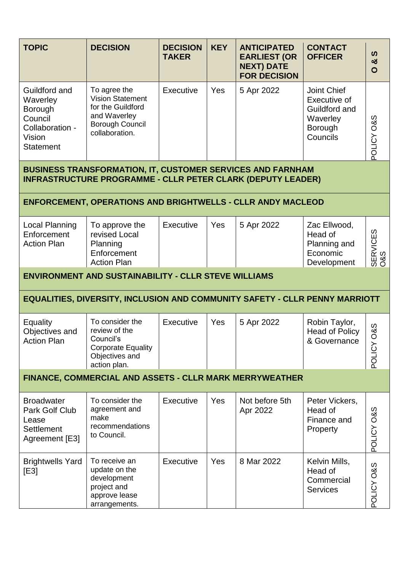| <b>TOPIC</b>                                                                                     | <b>DECISION</b>                                                                                                                         | <b>DECISION</b><br><b>TAKER</b> | <b>KEY</b> | <b>ANTICIPATED</b><br><b>EARLIEST (OR</b><br><b>NEXT) DATE</b><br><b>FOR DECISION</b> | <b>CONTACT</b><br><b>OFFICER</b>                                                       | ທ<br>න්<br>$\mathbf{O}$  |  |  |
|--------------------------------------------------------------------------------------------------|-----------------------------------------------------------------------------------------------------------------------------------------|---------------------------------|------------|---------------------------------------------------------------------------------------|----------------------------------------------------------------------------------------|--------------------------|--|--|
| Guildford and<br>Waverley<br>Borough<br>Council<br>Collaboration -<br>Vision<br><b>Statement</b> | To agree the<br><b>Vision Statement</b><br>for the Guildford<br>and Waverley<br><b>Borough Council</b><br>collaboration.                | <b>Executive</b>                | Yes        | 5 Apr 2022                                                                            | <b>Joint Chief</b><br>Executive of<br>Guildford and<br>Waverley<br>Borough<br>Councils | <b>S&amp;O ADITOC</b>    |  |  |
|                                                                                                  | <b>BUSINESS TRANSFORMATION, IT, CUSTOMER SERVICES AND FARNHAM</b><br><b>INFRASTRUCTURE PROGRAMME - CLLR PETER CLARK (DEPUTY LEADER)</b> |                                 |            |                                                                                       |                                                                                        |                          |  |  |
|                                                                                                  | <b>ENFORCEMENT, OPERATIONS AND BRIGHTWELLS - CLLR ANDY MACLEOD</b>                                                                      |                                 |            |                                                                                       |                                                                                        |                          |  |  |
| Local Planning<br>Enforcement<br><b>Action Plan</b>                                              | To approve the<br>revised Local<br>Planning<br>Enforcement<br><b>Action Plan</b>                                                        | Executive                       | Yes        | 5 Apr 2022                                                                            | Zac Ellwood,<br>Head of<br>Planning and<br>Economic<br>Development                     | SERVICES<br>0&S          |  |  |
| <b>ENVIRONMENT AND SUSTAINABILITY - CLLR STEVE WILLIAMS</b>                                      |                                                                                                                                         |                                 |            |                                                                                       |                                                                                        |                          |  |  |
|                                                                                                  | EQUALITIES, DIVERSITY, INCLUSION AND COMMUNITY SAFETY - CLLR PENNY MARRIOTT                                                             |                                 |            |                                                                                       |                                                                                        |                          |  |  |
| Equality<br>Objectives and<br><b>Action Plan</b>                                                 | To consider the<br>review of the<br>Council's<br><b>Corporate Equality</b><br>Objectives and<br>action plan.                            | Executive                       | Yes        | 5 Apr 2022                                                                            | Robin Taylor,<br><b>Head of Policy</b><br>& Governance                                 | <b>O&amp;S</b><br>POLICY |  |  |
|                                                                                                  | FINANCE, COMMERCIAL AND ASSETS - CLLR MARK MERRYWEATHER                                                                                 |                                 |            |                                                                                       |                                                                                        |                          |  |  |
| <b>Broadwater</b><br>Park Golf Club<br>Lease<br><b>Settlement</b><br>Agreement [E3]              | To consider the<br>agreement and<br>make<br>recommendations<br>to Council.                                                              | <b>Executive</b>                | Yes        | Not before 5th<br>Apr 2022                                                            | Peter Vickers,<br>Head of<br>Finance and<br>Property                                   | <b>S&amp;O AJITOc</b>    |  |  |
| <b>Brightwells Yard</b><br>[E3]                                                                  | To receive an<br>update on the<br>development<br>project and<br>approve lease<br>arrangements.                                          | <b>Executive</b>                | Yes        | 8 Mar 2022                                                                            | Kelvin Mills,<br>Head of<br>Commercial<br><b>Services</b>                              | POLICY O&S               |  |  |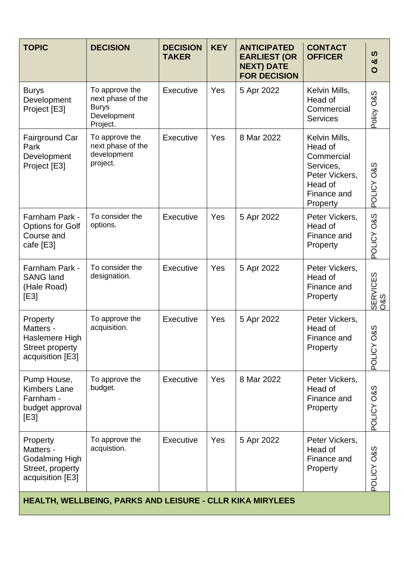| <b>TOPIC</b>                                                                          | <b>DECISION</b>                                                                | <b>DECISION</b><br><b>TAKER</b> | <b>KEY</b> | <b>ANTICIPATED</b><br><b>EARLIEST (OR</b><br><b>NEXT) DATE</b><br><b>FOR DECISION</b> | <b>CONTACT</b><br><b>OFFICER</b>                                                                            | ທ<br>ఱ<br>$\mathbf O$    |  |  |
|---------------------------------------------------------------------------------------|--------------------------------------------------------------------------------|---------------------------------|------------|---------------------------------------------------------------------------------------|-------------------------------------------------------------------------------------------------------------|--------------------------|--|--|
| <b>Burys</b><br>Development<br>Project [E3]                                           | To approve the<br>next phase of the<br><b>Burys</b><br>Development<br>Project. | Executive                       | Yes        | 5 Apr 2022                                                                            | Kelvin Mills,<br>Head of<br>Commercial<br><b>Services</b>                                                   | Policy O&S               |  |  |
| <b>Fairground Car</b><br>Park<br>Development<br>Project [E3]                          | To approve the<br>next phase of the<br>development<br>project.                 | Executive                       | Yes        | 8 Mar 2022                                                                            | Kelvin Mills,<br>Head of<br>Commercial<br>Services,<br>Peter Vickers,<br>Head of<br>Finance and<br>Property | POLICY O&S               |  |  |
| Farnham Park -<br><b>Options for Golf</b><br>Course and<br>cafe [E3]                  | To consider the<br>options.                                                    | <b>Executive</b>                | Yes        | 5 Apr 2022                                                                            | Peter Vickers,<br>Head of<br>Finance and<br>Property                                                        | POLICY O&S               |  |  |
| Farnham Park -<br><b>SANG land</b><br>(Hale Road)<br>[E3]                             | To consider the<br>designation.                                                | <b>Executive</b>                | Yes        | 5 Apr 2022                                                                            | Peter Vickers,<br>Head of<br>Finance and<br>Property                                                        | SERVICES<br>O&S          |  |  |
| Property<br>Matters -<br>Haslemere High<br><b>Street property</b><br>acquisition [E3] | To approve the<br>acquisition.                                                 | <b>Executive</b>                | Yes        | 5 Apr 2022                                                                            | Peter Vickers,<br>Head of<br>Finance and<br>Property                                                        | <b>O&amp;S</b><br>POLICY |  |  |
| Pump House,<br><b>Kimbers Lane</b><br>Farnham -<br>budget approval<br>[E3]            | To approve the<br>budget.                                                      | <b>Executive</b>                | Yes        | 8 Mar 2022                                                                            | Peter Vickers,<br>Head of<br>Finance and<br>Property                                                        | <b>S&amp;O ADITOC</b>    |  |  |
| Property<br>Matters -<br>Godalming High<br>Street, property<br>acquisition [E3]       | To approve the<br>acquistion.                                                  | <b>Executive</b>                | Yes        | 5 Apr 2022                                                                            | Peter Vickers,<br>Head of<br>Finance and<br>Property                                                        | POLICY O&S               |  |  |
| HEALTH, WELLBEING, PARKS AND LEISURE - CLLR KIKA MIRYLEES                             |                                                                                |                                 |            |                                                                                       |                                                                                                             |                          |  |  |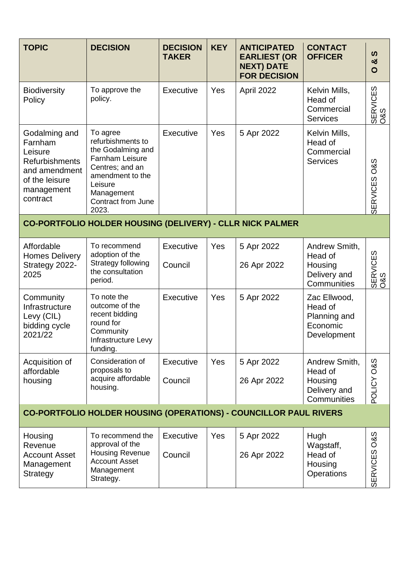| <b>TOPIC</b>                                                                                                              | <b>DECISION</b>                                                                                                                                                                    | <b>DECISION</b><br><b>TAKER</b> | <b>KEY</b> | <b>ANTICIPATED</b><br><b>EARLIEST (OR</b><br><b>NEXT) DATE</b><br><b>FOR DECISION</b> | <b>CONTACT</b><br><b>OFFICER</b>                                   | ທ<br>ఱ<br>O                       |  |  |
|---------------------------------------------------------------------------------------------------------------------------|------------------------------------------------------------------------------------------------------------------------------------------------------------------------------------|---------------------------------|------------|---------------------------------------------------------------------------------------|--------------------------------------------------------------------|-----------------------------------|--|--|
| <b>Biodiversity</b><br>Policy                                                                                             | To approve the<br>policy.                                                                                                                                                          | Executive                       | Yes        | April 2022                                                                            | Kelvin Mills,<br>Head of<br>Commercial<br><b>Services</b>          | SERVICES<br>O&S                   |  |  |
| Godalming and<br>Farnham<br>Leisure<br><b>Refurbishments</b><br>and amendment<br>of the leisure<br>management<br>contract | To agree<br>refurbishments to<br>the Godalming and<br><b>Farnham Leisure</b><br>Centres; and an<br>amendment to the<br>Leisure<br>Management<br><b>Contract from June</b><br>2023. | Executive                       | Yes        | 5 Apr 2022                                                                            | Kelvin Mills,<br>Head of<br>Commercial<br><b>Services</b>          | SERVICES O&S                      |  |  |
| CO-PORTFOLIO HOLDER HOUSING (DELIVERY) - CLLR NICK PALMER                                                                 |                                                                                                                                                                                    |                                 |            |                                                                                       |                                                                    |                                   |  |  |
| Affordable<br><b>Homes Delivery</b><br>Strategy 2022-<br>2025                                                             | To recommend<br>adoption of the<br>Strategy following<br>the consultation<br>period.                                                                                               | Executive<br>Council            | Yes        | 5 Apr 2022<br>26 Apr 2022                                                             | Andrew Smith,<br>Head of<br>Housing<br>Delivery and<br>Communities | SERVICES<br>O&S                   |  |  |
| Community<br>Infrastructure<br>Levy (CIL)<br>bidding cycle<br>2021/22                                                     | To note the<br>outcome of the<br>recent bidding<br>round for<br>Community<br>Infrastructure Levy<br>funding.                                                                       | Executive                       | Yes        | 5 Apr 2022                                                                            | Zac Ellwood,<br>Head of<br>Planning and<br>Economic<br>Development |                                   |  |  |
| Acquisition of<br>affordable<br>housing                                                                                   | Consideration of<br>proposals to<br>acquire affordable<br>housing.                                                                                                                 | Executive<br>Council            | Yes        | 5 Apr 2022<br>26 Apr 2022                                                             | Andrew Smith,<br>Head of<br>Housing<br>Delivery and<br>Communities | POLICY O&S                        |  |  |
| <b>CO-PORTFOLIO HOLDER HOUSING (OPERATIONS) - COUNCILLOR PAUL RIVERS</b>                                                  |                                                                                                                                                                                    |                                 |            |                                                                                       |                                                                    |                                   |  |  |
| Housing<br>Revenue<br><b>Account Asset</b><br>Management<br>Strategy                                                      | To recommend the<br>approval of the<br><b>Housing Revenue</b><br><b>Account Asset</b><br>Management<br>Strategy.                                                                   | Executive<br>Council            | Yes        | 5 Apr 2022<br>26 Apr 2022                                                             | Hugh<br>Wagstaff,<br>Head of<br>Housing<br><b>Operations</b>       | <b>O&amp;S</b><br><b>SERVICES</b> |  |  |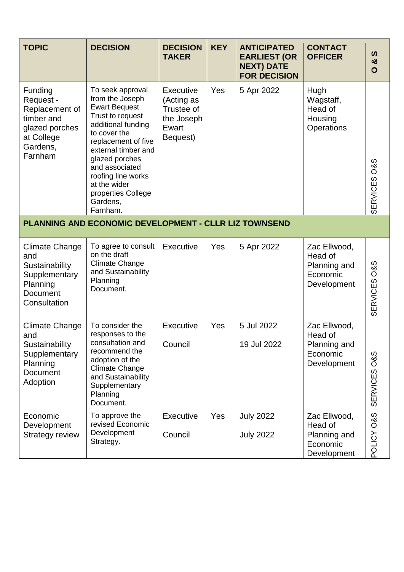| <b>TOPIC</b>                                                                                                | <b>DECISION</b>                                                                                                                                                                                                                                                                             | <b>DECISION</b><br><b>TAKER</b>                                                 | <b>KEY</b> | <b>ANTICIPATED</b><br><b>EARLIEST (OR</b><br><b>NEXT) DATE</b><br><b>FOR DECISION</b> | <b>CONTACT</b><br><b>OFFICER</b>                                   | ທ<br>ಯ<br>$\circ$                 |  |  |
|-------------------------------------------------------------------------------------------------------------|---------------------------------------------------------------------------------------------------------------------------------------------------------------------------------------------------------------------------------------------------------------------------------------------|---------------------------------------------------------------------------------|------------|---------------------------------------------------------------------------------------|--------------------------------------------------------------------|-----------------------------------|--|--|
| Funding<br>Request -<br>Replacement of<br>timber and<br>glazed porches<br>at College<br>Gardens,<br>Farnham | To seek approval<br>from the Joseph<br><b>Ewart Bequest</b><br>Trust to request<br>additional funding<br>to cover the<br>replacement of five<br>external timber and<br>glazed porches<br>and associated<br>roofing line works<br>at the wider<br>properties College<br>Gardens,<br>Farnham. | <b>Executive</b><br>(Acting as<br>Trustee of<br>the Joseph<br>Ewart<br>Bequest) | Yes        | 5 Apr 2022                                                                            | Hugh<br>Wagstaff,<br>Head of<br>Housing<br>Operations              | <b>O&amp;S</b><br><b>SERVICES</b> |  |  |
| <b>PLANNING AND ECONOMIC DEVELOPMENT - CLLR LIZ TOWNSEND</b>                                                |                                                                                                                                                                                                                                                                                             |                                                                                 |            |                                                                                       |                                                                    |                                   |  |  |
| <b>Climate Change</b><br>and<br>Sustainability<br>Supplementary<br>Planning<br>Document<br>Consultation     | To agree to consult<br>on the draft<br><b>Climate Change</b><br>and Sustainability<br>Planning<br>Document.                                                                                                                                                                                 | Executive                                                                       | Yes        | 5 Apr 2022                                                                            | Zac Ellwood,<br>Head of<br>Planning and<br>Economic<br>Development | <b>O&amp;S</b><br><b>SERVICES</b> |  |  |
| Climate Change<br>and<br>Sustainability<br>Supplementary<br>Planning<br><b>Document</b><br>Adoption         | To consider the<br>responses to the<br>consultation and<br>recommend the<br>adoption of the<br><b>Climate Change</b><br>and Sustainability<br>Supplementary<br>Planning<br>Document.                                                                                                        | Executive<br>Council                                                            | Yes        | 5 Jul 2022<br>19 Jul 2022                                                             | Zac Ellwood,<br>Head of<br>Planning and<br>Economic<br>Development | <b>O&amp;S</b><br><b>SERVICES</b> |  |  |
| Economic<br>Development<br>Strategy review                                                                  | To approve the<br>revised Economic<br>Development<br>Strategy.                                                                                                                                                                                                                              | Executive<br>Council                                                            | Yes        | <b>July 2022</b><br><b>July 2022</b>                                                  | Zac Ellwood,<br>Head of<br>Planning and<br>Economic<br>Development | POLICY O&S                        |  |  |